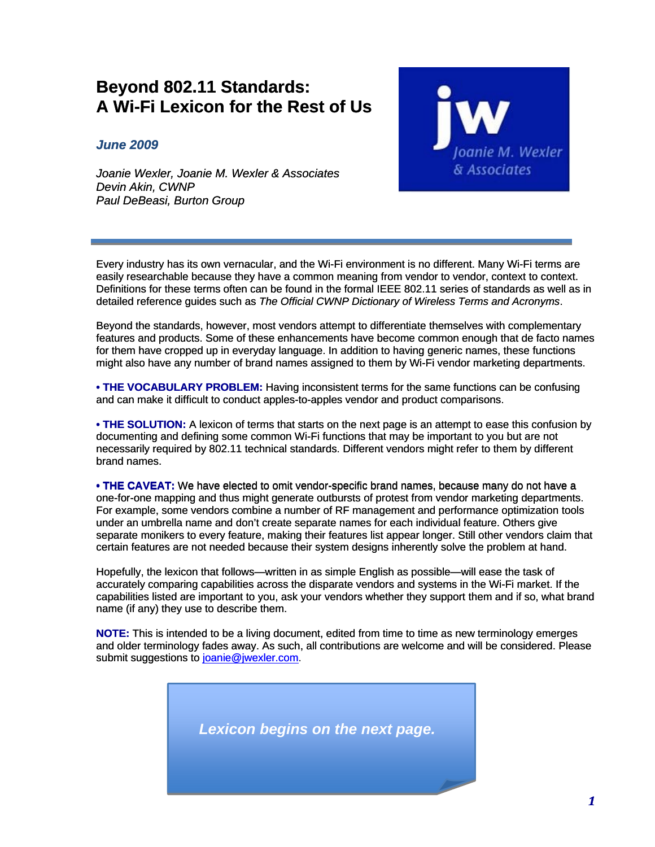## **Beyond 802.11 Standards: A Wi-Fi Lexicon for the Rest of Us**

*June 2009* 

*Joanie Wexler, Joanie M. Wexler & Associates Devin Akin, CWNP Paul DeBeasi, Burton Group* 



Every industry has its own vernacular, and the Wi-Fi environment is no different. Many Wi-Fi terms are easily researchable because they have a common meaning from vendor to vendor, context to context. Definitions for these terms often can be found in the formal IEEE 802.11 series of standards as well as in detailed reference guides such as *The Official CWNP Dictionary of Wireless Terms and Acronyms*.

Beyond the standards, however, most vendors attempt to differentiate themselves with complementary features and products. Some of these enhancements have become common enough that de facto names for them have cropped up in everyday language. In addition to having generic names, these functions might also have any number of brand names assigned to them by Wi-Fi vendor marketing departments.

**• THE VOCABULARY PROBLEM:** Having inconsistent terms for the same functions can be confusing and can make it difficult to conduct apples-to-apples vendor and product comparisons.

**• THE SOLUTION:** A lexicon of terms that starts on the next page is an attempt to ease this confusion by documenting and defining some common Wi-Fi functions that may be important to you but are not necessarily required by 802.11 technical standards. Different vendors might refer to them by different brand names.

**• THE CAVEAT:** We have elected to omit vendor-specific brand names, because many do not have a one-for-one mapping and thus might generate outbursts of protest from vendor marketing departments. For example, some vendors combine a number of RF management and performance optimization tools under an umbrella name and don't create separate names for each individual feature. Others give separate monikers to every feature, making their features list appear longer. Still other vendors claim that certain features are not needed because their system designs inherently solve the problem at hand.

Hopefully, the lexicon that follows—written in as simple English as possible—will ease the task of accurately comparing capabilities across the disparate vendors and systems in the Wi-Fi market. If the capabilities listed are important to you, ask your vendors whether they support them and if so, what brand name (if any) they use to describe them.

**NOTE:** [This is intended to be a living document, edited from time to time as new terminology emerges](mailto:joanie@jwexler.com)  [and older terminology fades away. As such, all contributions are welcome and will be considered. Please](mailto:joanie@jwexler.com)  [submit suggestions to joanie@jwexler.com](mailto:joanie@jwexler.com).

*Lexicon begins on the next page.*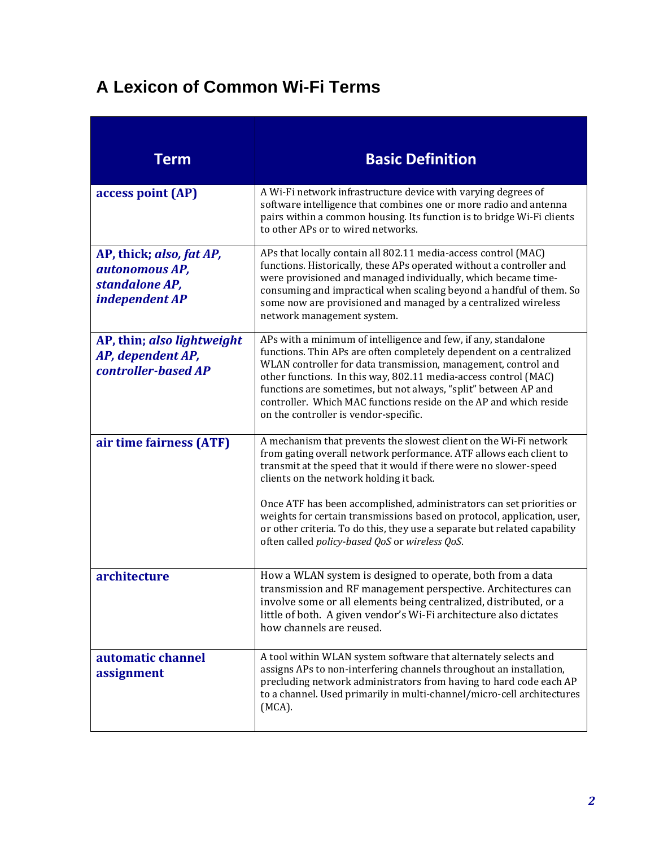## **A Lexicon of Common Wi-Fi Terms**

| <b>Term</b>                                                                    | <b>Basic Definition</b>                                                                                                                                                                                                                                                                                                                                                                                                                                     |
|--------------------------------------------------------------------------------|-------------------------------------------------------------------------------------------------------------------------------------------------------------------------------------------------------------------------------------------------------------------------------------------------------------------------------------------------------------------------------------------------------------------------------------------------------------|
| access point (AP)                                                              | A Wi-Fi network infrastructure device with varying degrees of<br>software intelligence that combines one or more radio and antenna<br>pairs within a common housing. Its function is to bridge Wi-Fi clients<br>to other APs or to wired networks.                                                                                                                                                                                                          |
| AP, thick; also, fat AP,<br>autonomous AP,<br>standalone AP,<br>independent AP | APs that locally contain all 802.11 media-access control (MAC)<br>functions. Historically, these APs operated without a controller and<br>were provisioned and managed individually, which became time-<br>consuming and impractical when scaling beyond a handful of them. So<br>some now are provisioned and managed by a centralized wireless<br>network management system.                                                                              |
| AP, thin; also lightweight<br>AP, dependent AP,<br>controller-based AP         | APs with a minimum of intelligence and few, if any, standalone<br>functions. Thin APs are often completely dependent on a centralized<br>WLAN controller for data transmission, management, control and<br>other functions. In this way, 802.11 media-access control (MAC)<br>functions are sometimes, but not always, "split" between AP and<br>controller. Which MAC functions reside on the AP and which reside<br>on the controller is vendor-specific. |
| air time fairness (ATF)                                                        | A mechanism that prevents the slowest client on the Wi-Fi network<br>from gating overall network performance. ATF allows each client to<br>transmit at the speed that it would if there were no slower-speed<br>clients on the network holding it back.                                                                                                                                                                                                     |
|                                                                                | Once ATF has been accomplished, administrators can set priorities or<br>weights for certain transmissions based on protocol, application, user,<br>or other criteria. To do this, they use a separate but related capability<br>often called policy-based QoS or wireless QoS.                                                                                                                                                                              |
| architecture                                                                   | How a WLAN system is designed to operate, both from a data<br>transmission and RF management perspective. Architectures can<br>involve some or all elements being centralized, distributed, or a<br>little of both. A given vendor's Wi-Fi architecture also dictates<br>how channels are reused.                                                                                                                                                           |
| automatic channel<br>assignment                                                | A tool within WLAN system software that alternately selects and<br>assigns APs to non-interfering channels throughout an installation,<br>precluding network administrators from having to hard code each AP<br>to a channel. Used primarily in multi-channel/micro-cell architectures<br>$(MCA)$ .                                                                                                                                                         |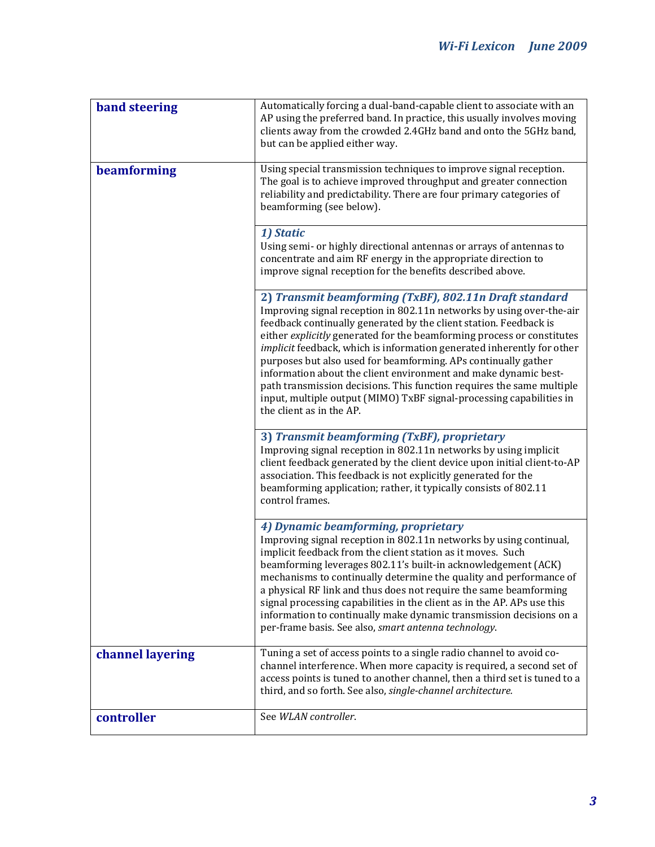| <b>band steering</b> | Automatically forcing a dual-band-capable client to associate with an<br>AP using the preferred band. In practice, this usually involves moving<br>clients away from the crowded 2.4GHz band and onto the 5GHz band,<br>but can be applied either way.                                                                                                                                                                                                                                                                                                                                                                                                                    |
|----------------------|---------------------------------------------------------------------------------------------------------------------------------------------------------------------------------------------------------------------------------------------------------------------------------------------------------------------------------------------------------------------------------------------------------------------------------------------------------------------------------------------------------------------------------------------------------------------------------------------------------------------------------------------------------------------------|
| beamforming          | Using special transmission techniques to improve signal reception.<br>The goal is to achieve improved throughput and greater connection<br>reliability and predictability. There are four primary categories of<br>beamforming (see below).                                                                                                                                                                                                                                                                                                                                                                                                                               |
|                      | 1) Static<br>Using semi- or highly directional antennas or arrays of antennas to<br>concentrate and aim RF energy in the appropriate direction to<br>improve signal reception for the benefits described above.                                                                                                                                                                                                                                                                                                                                                                                                                                                           |
|                      | 2) Transmit beamforming (TxBF), 802.11n Draft standard<br>Improving signal reception in 802.11n networks by using over-the-air<br>feedback continually generated by the client station. Feedback is<br>either explicitly generated for the beamforming process or constitutes<br>implicit feedback, which is information generated inherently for other<br>purposes but also used for beamforming. APs continually gather<br>information about the client environment and make dynamic best-<br>path transmission decisions. This function requires the same multiple<br>input, multiple output (MIMO) TxBF signal-processing capabilities in<br>the client as in the AP. |
|                      | 3) Transmit beamforming (TxBF), proprietary<br>Improving signal reception in 802.11n networks by using implicit<br>client feedback generated by the client device upon initial client-to-AP<br>association. This feedback is not explicitly generated for the<br>beamforming application; rather, it typically consists of 802.11<br>control frames.                                                                                                                                                                                                                                                                                                                      |
|                      | 4) Dynamic beamforming, proprietary<br>Improving signal reception in 802.11n networks by using continual,<br>implicit feedback from the client station as it moves. Such<br>beamforming leverages 802.11's built-in acknowledgement (ACK)<br>mechanisms to continually determine the quality and performance of<br>a physical RF link and thus does not require the same beamforming<br>signal processing capabilities in the client as in the AP. APs use this<br>information to continually make dynamic transmission decisions on a<br>per-frame basis. See also, smart antenna technology.                                                                            |
| channel layering     | Tuning a set of access points to a single radio channel to avoid co-<br>channel interference. When more capacity is required, a second set of<br>access points is tuned to another channel, then a third set is tuned to a<br>third, and so forth. See also, single-channel architecture.                                                                                                                                                                                                                                                                                                                                                                                 |
| controller           | See WLAN controller.                                                                                                                                                                                                                                                                                                                                                                                                                                                                                                                                                                                                                                                      |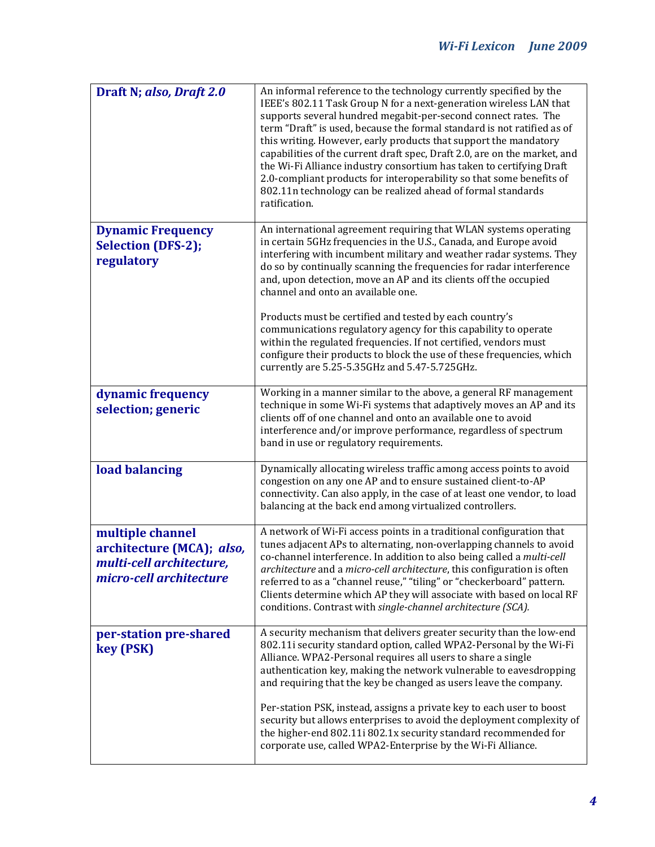| Draft N; also, Draft 2.0                                                                             | An informal reference to the technology currently specified by the<br>IEEE's 802.11 Task Group N for a next-generation wireless LAN that<br>supports several hundred megabit-per-second connect rates. The<br>term "Draft" is used, because the formal standard is not ratified as of<br>this writing. However, early products that support the mandatory<br>capabilities of the current draft spec, Draft 2.0, are on the market, and<br>the Wi-Fi Alliance industry consortium has taken to certifying Draft<br>2.0-compliant products for interoperability so that some benefits of<br>802.11n technology can be realized ahead of formal standards<br>ratification.                                                    |
|------------------------------------------------------------------------------------------------------|----------------------------------------------------------------------------------------------------------------------------------------------------------------------------------------------------------------------------------------------------------------------------------------------------------------------------------------------------------------------------------------------------------------------------------------------------------------------------------------------------------------------------------------------------------------------------------------------------------------------------------------------------------------------------------------------------------------------------|
| <b>Dynamic Frequency</b><br><b>Selection (DFS-2);</b><br>regulatory                                  | An international agreement requiring that WLAN systems operating<br>in certain 5GHz frequencies in the U.S., Canada, and Europe avoid<br>interfering with incumbent military and weather radar systems. They<br>do so by continually scanning the frequencies for radar interference<br>and, upon detection, move an AP and its clients off the occupied<br>channel and onto an available one.<br>Products must be certified and tested by each country's<br>communications regulatory agency for this capability to operate<br>within the regulated frequencies. If not certified, vendors must<br>configure their products to block the use of these frequencies, which<br>currently are 5.25-5.35GHz and 5.47-5.725GHz. |
| dynamic frequency<br>selection; generic                                                              | Working in a manner similar to the above, a general RF management<br>technique in some Wi-Fi systems that adaptively moves an AP and its<br>clients off of one channel and onto an available one to avoid<br>interference and/or improve performance, regardless of spectrum<br>band in use or regulatory requirements.                                                                                                                                                                                                                                                                                                                                                                                                    |
| load balancing                                                                                       | Dynamically allocating wireless traffic among access points to avoid<br>congestion on any one AP and to ensure sustained client-to-AP<br>connectivity. Can also apply, in the case of at least one vendor, to load<br>balancing at the back end among virtualized controllers.                                                                                                                                                                                                                                                                                                                                                                                                                                             |
| multiple channel<br>architecture (MCA); also,<br>multi-cell architecture,<br>micro-cell architecture | A network of Wi-Fi access points in a traditional configuration that<br>tunes adjacent APs to alternating, non-overlapping channels to avoid<br>co-channel interference. In addition to also being called a multi-cell<br>architecture and a micro-cell architecture, this configuration is often<br>referred to as a "channel reuse," "tiling" or "checkerboard" pattern.<br>Clients determine which AP they will associate with based on local RF<br>conditions. Contrast with single-channel architecture (SCA).                                                                                                                                                                                                        |
| per-station pre-shared<br>key (PSK)                                                                  | A security mechanism that delivers greater security than the low-end<br>802.11i security standard option, called WPA2-Personal by the Wi-Fi<br>Alliance. WPA2-Personal requires all users to share a single<br>authentication key, making the network vulnerable to eavesdropping<br>and requiring that the key be changed as users leave the company.<br>Per-station PSK, instead, assigns a private key to each user to boost<br>security but allows enterprises to avoid the deployment complexity of<br>the higher-end 802.11i 802.1x security standard recommended for<br>corporate use, called WPA2-Enterprise by the Wi-Fi Alliance.                                                                                |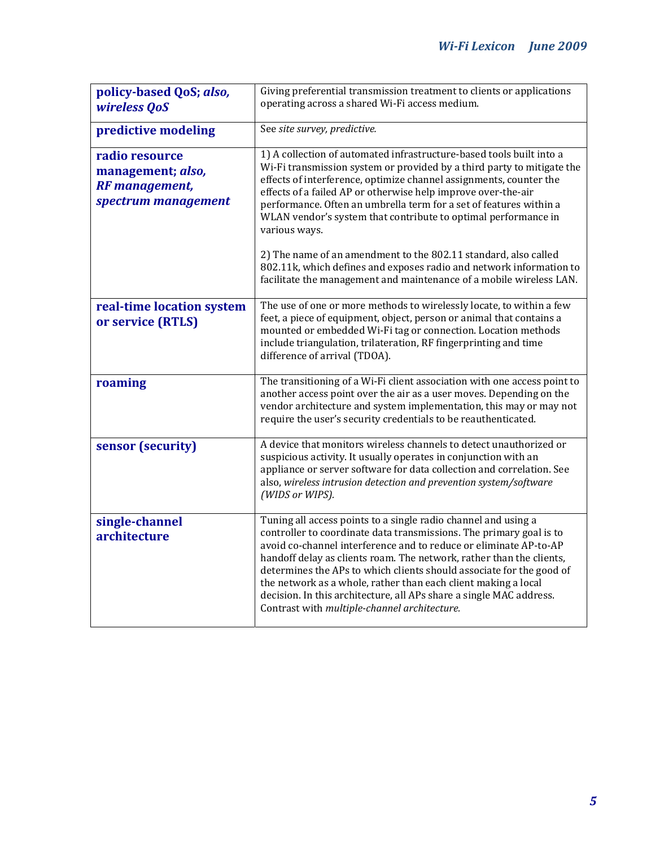| policy-based QoS; also,<br>wireless QoS                                             | Giving preferential transmission treatment to clients or applications<br>operating across a shared Wi-Fi access medium.                                                                                                                                                                                                                                                                                                                                                                                                                             |
|-------------------------------------------------------------------------------------|-----------------------------------------------------------------------------------------------------------------------------------------------------------------------------------------------------------------------------------------------------------------------------------------------------------------------------------------------------------------------------------------------------------------------------------------------------------------------------------------------------------------------------------------------------|
| predictive modeling                                                                 | See site survey, predictive.                                                                                                                                                                                                                                                                                                                                                                                                                                                                                                                        |
| radio resource<br>management; also,<br><b>RF</b> management,<br>spectrum management | 1) A collection of automated infrastructure-based tools built into a<br>Wi-Fi transmission system or provided by a third party to mitigate the<br>effects of interference, optimize channel assignments, counter the<br>effects of a failed AP or otherwise help improve over-the-air<br>performance. Often an umbrella term for a set of features within a<br>WLAN vendor's system that contribute to optimal performance in<br>various ways.                                                                                                      |
|                                                                                     | 2) The name of an amendment to the 802.11 standard, also called<br>802.11k, which defines and exposes radio and network information to<br>facilitate the management and maintenance of a mobile wireless LAN.                                                                                                                                                                                                                                                                                                                                       |
| real-time location system<br>or service (RTLS)                                      | The use of one or more methods to wirelessly locate, to within a few<br>feet, a piece of equipment, object, person or animal that contains a<br>mounted or embedded Wi-Fi tag or connection. Location methods<br>include triangulation, trilateration, RF fingerprinting and time<br>difference of arrival (TDOA).                                                                                                                                                                                                                                  |
| roaming                                                                             | The transitioning of a Wi-Fi client association with one access point to<br>another access point over the air as a user moves. Depending on the<br>vendor architecture and system implementation, this may or may not<br>require the user's security credentials to be reauthenticated.                                                                                                                                                                                                                                                             |
| sensor (security)                                                                   | A device that monitors wireless channels to detect unauthorized or<br>suspicious activity. It usually operates in conjunction with an<br>appliance or server software for data collection and correlation. See<br>also, wireless intrusion detection and prevention system/software<br>(WIDS or WIPS).                                                                                                                                                                                                                                              |
| single-channel<br>architecture                                                      | Tuning all access points to a single radio channel and using a<br>controller to coordinate data transmissions. The primary goal is to<br>avoid co-channel interference and to reduce or eliminate AP-to-AP<br>handoff delay as clients roam. The network, rather than the clients,<br>determines the APs to which clients should associate for the good of<br>the network as a whole, rather than each client making a local<br>decision. In this architecture, all APs share a single MAC address.<br>Contrast with multiple-channel architecture. |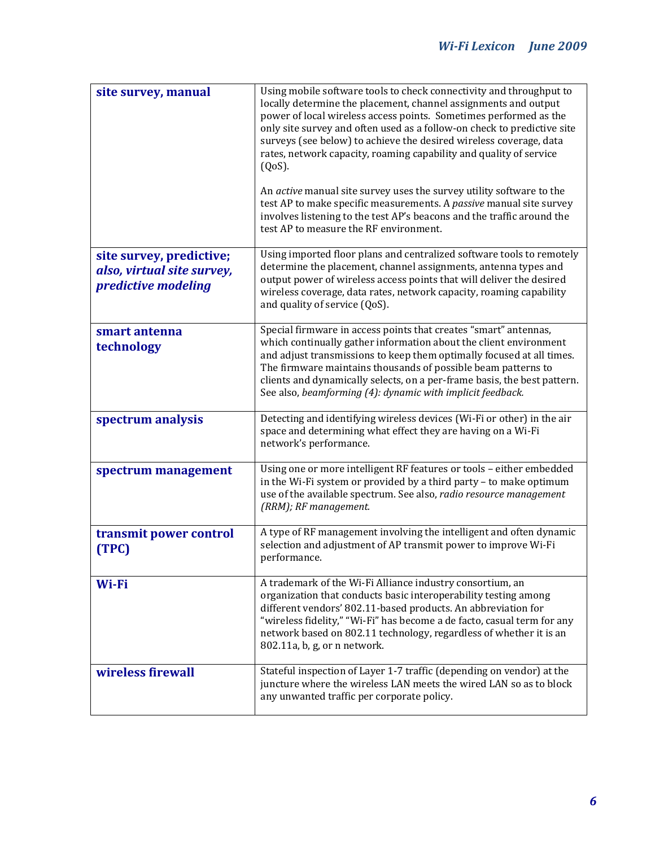| site survey, manual                                                           | Using mobile software tools to check connectivity and throughput to<br>locally determine the placement, channel assignments and output<br>power of local wireless access points. Sometimes performed as the<br>only site survey and often used as a follow-on check to predictive site<br>surveys (see below) to achieve the desired wireless coverage, data<br>rates, network capacity, roaming capability and quality of service<br>$(QoS)$ .<br>An active manual site survey uses the survey utility software to the<br>test AP to make specific measurements. A passive manual site survey<br>involves listening to the test AP's beacons and the traffic around the<br>test AP to measure the RF environment. |
|-------------------------------------------------------------------------------|--------------------------------------------------------------------------------------------------------------------------------------------------------------------------------------------------------------------------------------------------------------------------------------------------------------------------------------------------------------------------------------------------------------------------------------------------------------------------------------------------------------------------------------------------------------------------------------------------------------------------------------------------------------------------------------------------------------------|
| site survey, predictive;<br>also, virtual site survey,<br>predictive modeling | Using imported floor plans and centralized software tools to remotely<br>determine the placement, channel assignments, antenna types and<br>output power of wireless access points that will deliver the desired<br>wireless coverage, data rates, network capacity, roaming capability<br>and quality of service (QoS).                                                                                                                                                                                                                                                                                                                                                                                           |
| smart antenna<br>technology                                                   | Special firmware in access points that creates "smart" antennas,<br>which continually gather information about the client environment<br>and adjust transmissions to keep them optimally focused at all times.<br>The firmware maintains thousands of possible beam patterns to<br>clients and dynamically selects, on a per-frame basis, the best pattern.<br>See also, beamforming (4): dynamic with implicit feedback.                                                                                                                                                                                                                                                                                          |
| spectrum analysis                                                             | Detecting and identifying wireless devices (Wi-Fi or other) in the air<br>space and determining what effect they are having on a Wi-Fi<br>network's performance.                                                                                                                                                                                                                                                                                                                                                                                                                                                                                                                                                   |
| spectrum management                                                           | Using one or more intelligent RF features or tools - either embedded<br>in the Wi-Fi system or provided by a third party - to make optimum<br>use of the available spectrum. See also, radio resource management<br>(RRM); RF management.                                                                                                                                                                                                                                                                                                                                                                                                                                                                          |
| transmit power control<br>(TPC)                                               | A type of RF management involving the intelligent and often dynamic<br>selection and adjustment of AP transmit power to improve Wi-Fi<br>performance.                                                                                                                                                                                                                                                                                                                                                                                                                                                                                                                                                              |
| Wi-Fi                                                                         | A trademark of the Wi-Fi Alliance industry consortium, an<br>organization that conducts basic interoperability testing among<br>different vendors' 802.11-based products. An abbreviation for<br>"wireless fidelity," "Wi-Fi" has become a de facto, casual term for any<br>network based on 802.11 technology, regardless of whether it is an<br>802.11a, b, g, or n network.                                                                                                                                                                                                                                                                                                                                     |
| wireless firewall                                                             | Stateful inspection of Layer 1-7 traffic (depending on vendor) at the<br>juncture where the wireless LAN meets the wired LAN so as to block<br>any unwanted traffic per corporate policy.                                                                                                                                                                                                                                                                                                                                                                                                                                                                                                                          |